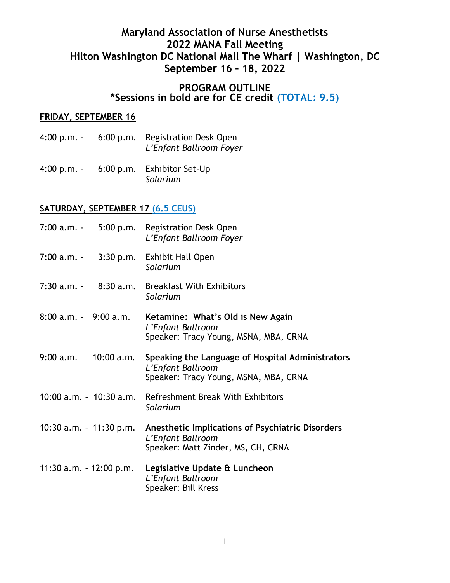# **Maryland Association of Nurse Anesthetists 2022 MANA Fall Meeting Hilton Washington DC National Mall The Wharf | Washington, DC September 16 – 18, 2022**

### **PROGRAM OUTLINE \*Sessions in bold are for CE credit (TOTAL: 9.5)**

### **FRIDAY, SEPTEMBER 16**

- 4:00 p.m. 6:00 p.m. Registration Desk Open *L'Enfant Ballroom Foyer*
- 4:00 p.m. 6:00 p.m. Exhibitor Set-Up *Solarium*

#### **SATURDAY, SEPTEMBER 17 (6.5 CEUS)**

|                            | 7:00 a.m. - 5:00 p.m. Registration Desk Open<br>L'Enfant Ballroom Foyer                                        |
|----------------------------|----------------------------------------------------------------------------------------------------------------|
| 7:00 a.m. -                | 3:30 p.m. Exhibit Hall Open<br>Solarium                                                                        |
| $7:30$ a.m. $-8:30$ a.m.   | <b>Breakfast With Exhibitors</b><br>Solarium                                                                   |
| $8:00$ a.m. $-9:00$ a.m.   | Ketamine: What's Old is New Again<br>L'Enfant Ballroom<br>Speaker: Tracy Young, MSNA, MBA, CRNA                |
| $9:00$ a.m. $-10:00$ a.m.  | Speaking the Language of Hospital Administrators<br>L'Enfant Ballroom<br>Speaker: Tracy Young, MSNA, MBA, CRNA |
| 10:00 a.m. - 10:30 a.m.    | Refreshment Break With Exhibitors<br>Solarium                                                                  |
| $10:30$ a.m. $-11:30$ p.m. | Anesthetic Implications of Psychiatric Disorders<br>L'Enfant Ballroom<br>Speaker: Matt Zinder, MS, CH, CRNA    |
| 11:30 a.m. - 12:00 p.m.    | Legislative Update & Luncheon<br>L'Enfant Ballroom<br>Speaker: Bill Kress                                      |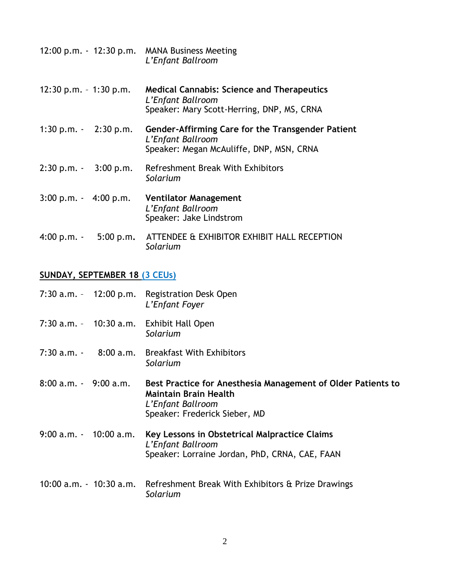|                                         |           | 12:00 p.m. - 12:30 p.m. MANA Business Meeting<br>L'Enfant Ballroom                                                   |
|-----------------------------------------|-----------|----------------------------------------------------------------------------------------------------------------------|
| $12:30$ p.m. $-1:30$ p.m.               |           | <b>Medical Cannabis: Science and Therapeutics</b><br>L'Enfant Ballroom<br>Speaker: Mary Scott-Herring, DNP, MS, CRNA |
| 1:30 p.m. $-2:30$ p.m.                  |           | Gender-Affirming Care for the Transgender Patient<br>L'Enfant Ballroom<br>Speaker: Megan McAuliffe, DNP, MSN, CRNA   |
| $2:30 p.m. - 3:00 p.m.$                 |           | Refreshment Break With Exhibitors<br>Solarium                                                                        |
| $3:00 \text{ p.m.} - 4:00 \text{ p.m.}$ |           | <b>Ventilator Management</b><br>L'Enfant Ballroom<br>Speaker: Jake Lindstrom                                         |
| $4:00 p.m. -$                           | 5:00 p.m. | ATTENDEE & EXHIBITOR EXHIBIT HALL RECEPTION<br>Solarium                                                              |

## **SUNDAY, SEPTEMBER 18 (3 CEUs)**

|                               |                           | 7:30 a.m. - 12:00 p.m. Registration Desk Open<br>L'Enfant Foyer                                                                                    |
|-------------------------------|---------------------------|----------------------------------------------------------------------------------------------------------------------------------------------------|
|                               | $7:30$ a.m. $-10:30$ a.m. | <b>Exhibit Hall Open</b><br>Solarium                                                                                                               |
|                               | $7:30$ a.m. $-8:00$ a.m.  | <b>Breakfast With Exhibitors</b><br>Solarium                                                                                                       |
| $8:00$ a.m. $\cdot$ 9:00 a.m. |                           | Best Practice for Anesthesia Management of Older Patients to<br><b>Maintain Brain Health</b><br>L'Enfant Ballroom<br>Speaker: Frederick Sieber, MD |
| $9:00$ a.m. $-10:00$ a.m.     |                           | Key Lessons in Obstetrical Malpractice Claims<br>L'Enfant Ballroom<br>Speaker: Lorraine Jordan, PhD, CRNA, CAE, FAAN                               |
|                               | 10:00 a.m. - 10:30 a.m.   | Refreshment Break With Exhibitors & Prize Drawings<br>Solarium                                                                                     |